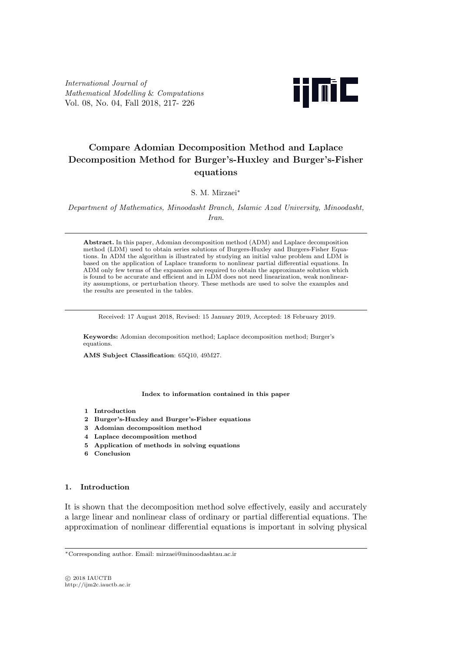*International Journal of Mathematical Modelling* & *Computations* Vol. 08, No. 04, Fall 2018, 217- 226



# **Compare Adomian Decomposition Method and Laplace Decomposition Method for Burger's-Huxley and Burger's-Fisher equations**

S. M. Mirzaei*∗*

*Department of Mathematics, Minoodasht Branch, Islamic Azad University, Minoodasht, Iran*.

**Abstract.** In this paper, Adomian decomposition method (ADM) and Laplace decomposition method (LDM) used to obtain series solutions of Burgers-Huxley and Burgers-Fisher Equations. In ADM the algorithm is illustrated by studying an initial value problem and LDM is based on the application of Laplace transform to nonlinear partial differential equations. In ADM only few terms of the expansion are required to obtain the approximate solution which is found to be accurate and efficient and in LDM does not need linearization, weak nonlinearity assumptions, or perturbation theory. These methods are used to solve the examples and the results are presented in the tables.

Received: 17 August 2018, Revised: 15 January 2019, Accepted: 18 February 2019.

**Keywords:** Adomian decomposition method; Laplace decomposition method; Burger's equations.

**AMS Subject Classification**: 65Q10, 49M27.

**Index to information contained in this paper**

- **1 Introduction**
- **2 Burger's-Huxley and Burger's-Fisher equations**
- **3 Adomian decomposition method**
- **4 Laplace decomposition method**
- **5 Application of methods in solving equations**
- **6 Conclusion**

### **1. Introduction**

It is shown that the decomposition method solve effectively, easily and accurately a large linear and nonlinear class of ordinary or partial differential equations. The approximation of nonlinear differential equations is important in solving physical

*<sup>∗</sup>*Corresponding author. Email: mirzaei@minoodashtau.ac.ir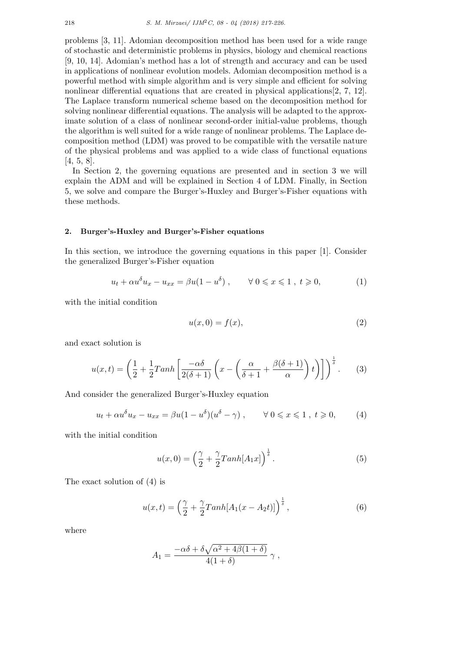problems [3, 11]. Adomian decomposition method has been used for a wide range of stochastic and deterministic problems in physics, biology and chemical reactions [9, 10, 14]. Adomian's method has a lot of strength and accuracy and can be used in applications of nonlinear evolution models. Adomian decomposition method is a powerful method with simple algorithm and is very simple and efficient for solving nonlinear differential equations that are created in physical applications[2, 7, 12]. The Laplace transform numerical scheme based on the decomposition method for solving nonlinear differential equations. The analysis will be adapted to the approximate solution of a class of nonlinear second-order initial-value problems, though the algorithm is well suited for a wide range of nonlinear problems. The Laplace decomposition method (LDM) was proved to be compatible with the versatile nature of the physical problems and was applied to a wide class of functional equations [4, 5, 8].

In Section 2, the governing equations are presented and in section 3 we will explain the ADM and will be explained in Section 4 of LDM. Finally, in Section 5, we solve and compare the Burger's-Huxley and Burger's-Fisher equations with these methods.

### **2. Burger's-Huxley and Burger's-Fisher equations**

In this section, we introduce the governing equations in this paper [1]. Consider the generalized Burger's-Fisher equation

$$
u_t + \alpha u^\delta u_x - u_{xx} = \beta u (1 - u^\delta) , \qquad \forall \ 0 \leqslant x \leqslant 1 , \ t \geqslant 0,
$$
 (1)

with the initial condition

$$
u(x,0) = f(x),\tag{2}
$$

and exact solution is

$$
u(x,t) = \left(\frac{1}{2} + \frac{1}{2}Tanh\left[\frac{-\alpha\delta}{2(\delta+1)}\left(x - \left(\frac{\alpha}{\delta+1} + \frac{\beta(\delta+1)}{\alpha}\right)t\right)\right]\right)^{\frac{1}{\delta}}.
$$
 (3)

And consider the generalized Burger's-Huxley equation

$$
u_t + \alpha u^\delta u_x - u_{xx} = \beta u (1 - u^\delta)(u^\delta - \gamma) , \qquad \forall \ 0 \leqslant x \leqslant 1 , \ t \geqslant 0, \qquad (4)
$$

with the initial condition

$$
u(x,0) = \left(\frac{\gamma}{2} + \frac{\gamma}{2}Tanh[A_1x]\right)^{\frac{1}{\delta}}.
$$
 (5)

The exact solution of (4) is

$$
u(x,t) = \left(\frac{\gamma}{2} + \frac{\gamma}{2}Tanh[A_1(x - A_2t)]\right)^{\frac{1}{\delta}},\tag{6}
$$

where

$$
A_1 = \frac{-\alpha\delta + \delta\sqrt{\alpha^2 + 4\beta(1+\delta)}}{4(1+\delta)} \gamma,
$$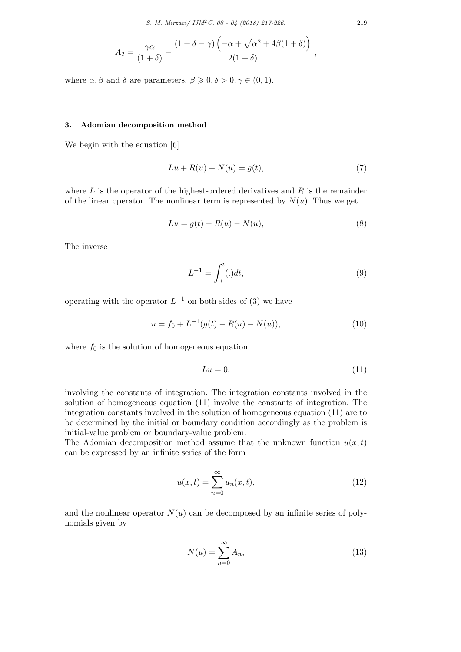*S. M. Mirzaei/ IJM*2*C, 08 - 04 (2018) 217-226.* 219

$$
A_2 = \frac{\gamma \alpha}{(1+\delta)} - \frac{(1+\delta-\gamma)\left(-\alpha + \sqrt{\alpha^2 + 4\beta(1+\delta)}\right)}{2(1+\delta)},
$$

where  $\alpha, \beta$  and  $\delta$  are parameters,  $\beta \geqslant 0, \delta > 0, \gamma \in (0, 1)$ .

#### **3. Adomian decomposition method**

We begin with the equation  $[6]$ 

$$
Lu + R(u) + N(u) = g(t),\tag{7}
$$

where *L* is the operator of the highest-ordered derivatives and *R* is the remainder of the linear operator. The nonlinear term is represented by  $N(u)$ . Thus we get

$$
Lu = g(t) - R(u) - N(u),
$$
\n(8)

The inverse

$$
L^{-1} = \int_0^t (.) dt,
$$
\n(9)

operating with the operator  $L^{-1}$  on both sides of (3) we have

$$
u = f_0 + L^{-1}(g(t) - R(u) - N(u)),
$$
\n(10)

where  $f_0$  is the solution of homogeneous equation

$$
Lu = 0,\t(11)
$$

involving the constants of integration. The integration constants involved in the solution of homogeneous equation (11) involve the constants of integration. The integration constants involved in the solution of homogeneous equation (11) are to be determined by the initial or boundary condition accordingly as the problem is initial-value problem or boundary-value problem.

The Adomian decomposition method assume that the unknown function  $u(x,t)$ can be expressed by an infinite series of the form

$$
u(x,t) = \sum_{n=0}^{\infty} u_n(x,t),
$$
\n(12)

and the nonlinear operator  $N(u)$  can be decomposed by an infinite series of polynomials given by

$$
N(u) = \sum_{n=0}^{\infty} A_n,
$$
\n(13)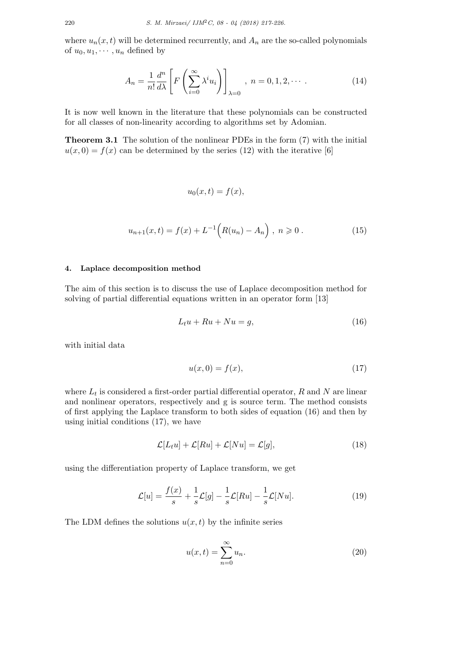where  $u_n(x, t)$  will be determined recurrently, and  $A_n$  are the so-called polynomials of  $u_0, u_1, \cdots, u_n$  defined by

$$
A_n = \frac{1}{n!} \frac{d^n}{d\lambda} \left[ F\left(\sum_{i=0}^{\infty} \lambda^i u_i\right) \right]_{\lambda=0}, \ n = 0, 1, 2, \cdots \tag{14}
$$

It is now well known in the literature that these polynomials can be constructed for all classes of non-linearity according to algorithms set by Adomian.

**Theorem 3.1** The solution of the nonlinear PDEs in the form (7) with the initial  $u(x,0) = f(x)$  can be determined by the series (12) with the iterative [6]

$$
u_0(x,t) = f(x),
$$

$$
u_{n+1}(x,t) = f(x) + L^{-1}\Big(R(u_n) - A_n\Big), \ n \geqslant 0. \tag{15}
$$

### **4. Laplace decomposition method**

The aim of this section is to discuss the use of Laplace decomposition method for solving of partial differential equations written in an operator form [13]

$$
L_t u + Ru + Nu = g,\t\t(16)
$$

with initial data

$$
u(x,0) = f(x),\tag{17}
$$

where *L<sup>t</sup>* is considered a first-order partial differential operator, *R* and *N* are linear and nonlinear operators, respectively and g is source term. The method consists of first applying the Laplace transform to both sides of equation (16) and then by using initial conditions (17), we have

$$
\mathcal{L}[L_t u] + \mathcal{L}[Ru] + \mathcal{L}[Nu] = \mathcal{L}[g],\tag{18}
$$

using the differentiation property of Laplace transform, we get

$$
\mathcal{L}[u] = \frac{f(x)}{s} + \frac{1}{s}\mathcal{L}[g] - \frac{1}{s}\mathcal{L}[Ru] - \frac{1}{s}\mathcal{L}[Nu].
$$
\n(19)

The LDM defines the solutions  $u(x, t)$  by the infinite series

$$
u(x,t) = \sum_{n=0}^{\infty} u_n.
$$
 (20)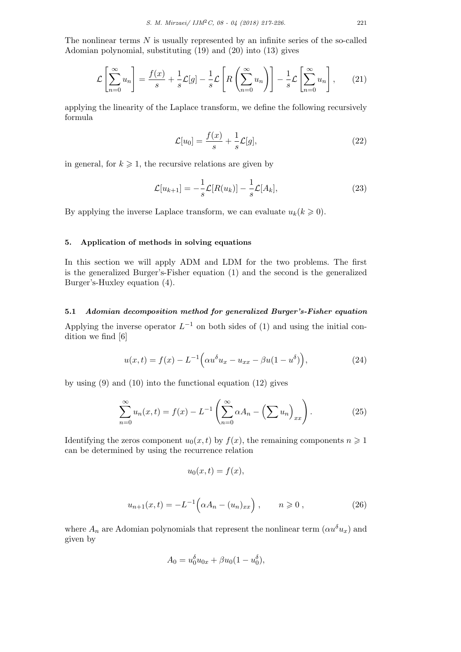The nonlinear terms *N* is usually represented by an infinite series of the so-called Adomian polynomial, substituting (19) and (20) into (13) gives

$$
\mathcal{L}\left[\sum_{n=0}^{\infty} u_n\right] = \frac{f(x)}{s} + \frac{1}{s}\mathcal{L}[g] - \frac{1}{s}\mathcal{L}\left[R\left(\sum_{n=0}^{\infty} u_n\right)\right] - \frac{1}{s}\mathcal{L}\left[\sum_{n=0}^{\infty} u_n\right],\qquad(21)
$$

applying the linearity of the Laplace transform, we define the following recursively formula

$$
\mathcal{L}[u_0] = \frac{f(x)}{s} + \frac{1}{s}\mathcal{L}[g],\tag{22}
$$

in general, for  $k \geq 1$ , the recursive relations are given by

$$
\mathcal{L}[u_{k+1}] = -\frac{1}{s}\mathcal{L}[R(u_k)] - \frac{1}{s}\mathcal{L}[A_k],\tag{23}
$$

By applying the inverse Laplace transform, we can evaluate  $u_k$  ( $k \geq 0$ ).

# **5. Application of methods in solving equations**

In this section we will apply ADM and LDM for the two problems. The first is the generalized Burger's-Fisher equation (1) and the second is the generalized Burger's-Huxley equation (4).

# **5.1** *Adomian decomposition method for generalized Burger's-Fisher equation*

Applying the inverse operator  $L^{-1}$  on both sides of (1) and using the initial condition we find [6]

$$
u(x,t) = f(x) - L^{-1} \Big( \alpha u^{\delta} u_x - u_{xx} - \beta u (1 - u^{\delta}) \Big), \tag{24}
$$

by using  $(9)$  and  $(10)$  into the functional equation  $(12)$  gives

$$
\sum_{n=0}^{\infty} u_n(x,t) = f(x) - L^{-1} \left( \sum_{n=0}^{\infty} \alpha A_n - \left( \sum u_n \right)_{xx} \right).
$$
 (25)

Identifying the zeros component  $u_0(x, t)$  by  $f(x)$ , the remaining components  $n \geq 1$ can be determined by using the recurrence relation

$$
u_0(x,t) = f(x),
$$

$$
u_{n+1}(x,t) = -L^{-1} \left( \alpha A_n - (u_n)_{xx} \right), \qquad n \geqslant 0 , \qquad (26)
$$

where  $A_n$  are Adomian polynomials that represent the nonlinear term  $(\alpha u^{\delta} u_x)$  and given by

$$
A_0 = u_0^{\delta} u_{0x} + \beta u_0 (1 - u_0^{\delta}),
$$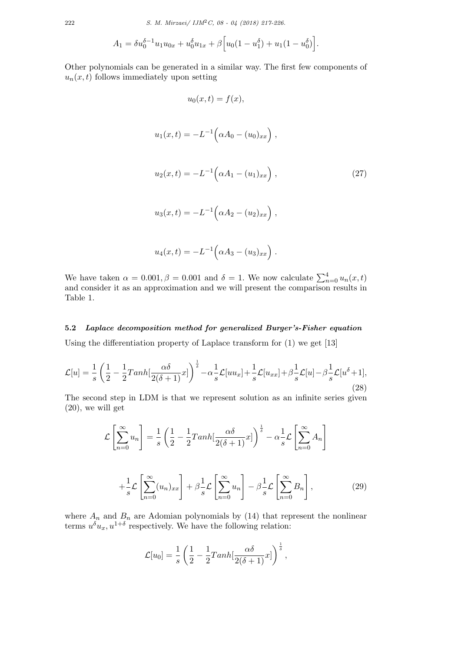$$
A_1 = \delta u_0^{\delta - 1} u_1 u_{0x} + u_0^{\delta} u_{1x} + \beta \Big[ u_0 (1 - u_1^{\delta}) + u_1 (1 - u_0^{\delta}) \Big].
$$

Other polynomials can be generated in a similar way. The first few components of  $u_n(x, t)$  follows immediately upon setting

$$
u_0(x,t) = f(x),
$$
  
\n
$$
u_1(x,t) = -L^{-1} \left( \alpha A_0 - (u_0)_{xx} \right),
$$
  
\n
$$
u_2(x,t) = -L^{-1} \left( \alpha A_1 - (u_1)_{xx} \right),
$$
  
\n
$$
u_3(x,t) = -L^{-1} \left( \alpha A_2 - (u_2)_{xx} \right),
$$
\n(27)

$$
u_4(x,t) = -L^{-1} \Big( \alpha A_3 - (u_3)_{xx} \Big) .
$$

We have taken  $\alpha = 0.001, \beta = 0.001$  and  $\delta = 1$ . We now calculate  $\sum_{n=0}^{4} u_n(x, t)$ and consider it as an approximation and we will present the comparison results in Table 1.

# **5.2** *Laplace decomposition method for generalized Burger's-Fisher equation*

Using the differentiation property of Laplace transform for (1) we get [13]

$$
\mathcal{L}[u] = \frac{1}{s} \left( \frac{1}{2} - \frac{1}{2} \mathrm{Tanh}[\frac{\alpha \delta}{2(\delta + 1)} x] \right)^{\frac{1}{\delta}} - \alpha \frac{1}{s} \mathcal{L}[uu_x] + \frac{1}{s} \mathcal{L}[u_{xx}] + \beta \frac{1}{s} \mathcal{L}[u] - \beta \frac{1}{s} \mathcal{L}[u^{\delta} + 1],
$$
\n(28)

The second step in LDM is that we represent solution as an infinite series given (20), we will get

$$
\mathcal{L}\left[\sum_{n=0}^{\infty} u_n\right] = \frac{1}{s} \left(\frac{1}{2} - \frac{1}{2} \mathrm{Tanh}\left[\frac{\alpha \delta}{2(\delta+1)} x\right]\right)^{\frac{1}{\delta}} - \alpha \frac{1}{s} \mathcal{L}\left[\sum_{n=0}^{\infty} A_n\right]
$$

$$
+ \frac{1}{s} \mathcal{L}\left[\sum_{n=0}^{\infty} (u_n)_{xx}\right] + \beta \frac{1}{s} \mathcal{L}\left[\sum_{n=0}^{\infty} u_n\right] - \beta \frac{1}{s} \mathcal{L}\left[\sum_{n=0}^{\infty} B_n\right],\tag{29}
$$

where  $A_n$  and  $B_n$  are Adomian polynomials by (14) that represent the nonlinear terms  $u^{\delta}u_x, u^{1+\delta}$  respectively. We have the following relation:

$$
\mathcal{L}[u_0] = \frac{1}{s} \left( \frac{1}{2} - \frac{1}{2} \text{Tanh}[\frac{\alpha \delta}{2(\delta+1)} x] \right)^{\frac{1}{\delta}},
$$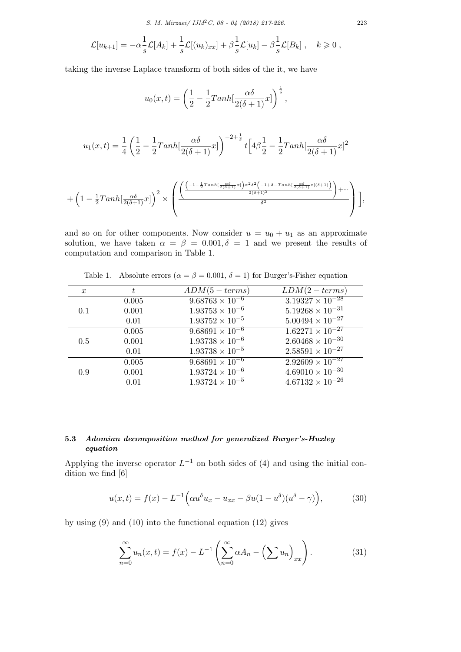$$
\mathcal{L}[u_{k+1}] = -\alpha \frac{1}{s} \mathcal{L}[A_k] + \frac{1}{s} \mathcal{L}[(u_k)_{xx}] + \beta \frac{1}{s} \mathcal{L}[u_k] - \beta \frac{1}{s} \mathcal{L}[B_k], \quad k \geq 0,
$$

taking the inverse Laplace transform of both sides of the it, we have

$$
u_0(x,t) = \left(\frac{1}{2} - \frac{1}{2}Tanh\left[\frac{\alpha\delta}{2(\delta+1)}x\right]\right)^{\frac{1}{\delta}},
$$

$$
u_1(x,t) = \frac{1}{4} \left( \frac{1}{2} - \frac{1}{2} \text{Tanh}[\frac{\alpha \delta}{2(\delta+1)} x] \right)^{-2+\frac{1}{\delta}} t \left[ 4\beta \frac{1}{2} - \frac{1}{2} \text{Tanh}[\frac{\alpha \delta}{2(\delta+1)} x]^2 \right]
$$

$$
+\left(1-\frac{1}{2}Tanh\left[\frac{\alpha\delta}{2(\delta+1)}x\right]\right)^2 \times \left(\frac{\left(\frac{\left(-1-\frac{1}{2}Tanh\left[\frac{\alpha\delta}{2(\delta+1)}x\right]\right)\alpha^2\delta^2\left(-1+\delta-Tanh\left[\frac{\alpha\delta}{2(\delta+1)}x\right](\delta+1)\right)}{2(\delta+1)^2}\right)+\cdots}{\delta^2}\right)\right],
$$

and so on for other components. Now consider  $u = u_0 + u_1$  as an approximate solution, we have taken  $\alpha = \beta = 0.001, \delta = 1$  and we present the results of computation and comparison in Table 1.

| $LDM(2 - terms)$<br>$ADM(5-terms)$<br>t.<br>$\boldsymbol{x}$<br>$3.19327 \times 10^{-28}$<br>$9.68763 \times 10^{-6}$<br>0.005<br>$5.19268\times10^{-31}$<br>$1.93753 \times 10^{-6}$<br>0.001<br>0.1<br>$1.93752 \times 10^{-5}$<br>$5.00494 \times 10^{-27}$<br>0.01<br>$1.62271 \times 10^{-27}$<br>$9.\overline{68691 \times 10^{-6}}$<br>0.005<br>$2.60468 \times 10^{-30}$<br>$1.93738 \times 10^{-6}$<br>0.001<br>0.5<br>$2.58591\times10^{-27}$<br>$1.93738 \times 10^{-5}$<br>0.01<br>$2.92609 \times 10^{-27}$<br>$9.68691 \times 10^{-6}$<br>0.005 |     |       |                          |                           |
|---------------------------------------------------------------------------------------------------------------------------------------------------------------------------------------------------------------------------------------------------------------------------------------------------------------------------------------------------------------------------------------------------------------------------------------------------------------------------------------------------------------------------------------------------------------|-----|-------|--------------------------|---------------------------|
|                                                                                                                                                                                                                                                                                                                                                                                                                                                                                                                                                               |     |       |                          |                           |
|                                                                                                                                                                                                                                                                                                                                                                                                                                                                                                                                                               |     |       |                          |                           |
|                                                                                                                                                                                                                                                                                                                                                                                                                                                                                                                                                               |     |       |                          |                           |
|                                                                                                                                                                                                                                                                                                                                                                                                                                                                                                                                                               |     |       |                          |                           |
|                                                                                                                                                                                                                                                                                                                                                                                                                                                                                                                                                               |     |       |                          |                           |
|                                                                                                                                                                                                                                                                                                                                                                                                                                                                                                                                                               |     |       |                          |                           |
|                                                                                                                                                                                                                                                                                                                                                                                                                                                                                                                                                               |     |       |                          |                           |
|                                                                                                                                                                                                                                                                                                                                                                                                                                                                                                                                                               |     |       |                          |                           |
|                                                                                                                                                                                                                                                                                                                                                                                                                                                                                                                                                               | 0.9 | 0.001 | $1.93724 \times 10^{-6}$ | $4.69010 \times 10^{-30}$ |
| $1.93724 \times 10^{-5}$<br>$4.67132 \times 10^{-26}$<br>0.01                                                                                                                                                                                                                                                                                                                                                                                                                                                                                                 |     |       |                          |                           |

Table 1. Absolute errors  $(\alpha = \beta = 0.001, \delta = 1)$  for Burger's-Fisher equation

# **5.3** *Adomian decomposition method for generalized Burger's-Huxley equation*

Applying the inverse operator  $L^{-1}$  on both sides of (4) and using the initial condition we find [6]

$$
u(x,t) = f(x) - L^{-1} \left( \alpha u^{\delta} u_x - u_{xx} - \beta u (1 - u^{\delta}) (u^{\delta} - \gamma) \right), \tag{30}
$$

by using (9) and (10) into the functional equation (12) gives

$$
\sum_{n=0}^{\infty} u_n(x,t) = f(x) - L^{-1} \left( \sum_{n=0}^{\infty} \alpha A_n - \left( \sum u_n \right)_{xx} \right).
$$
 (31)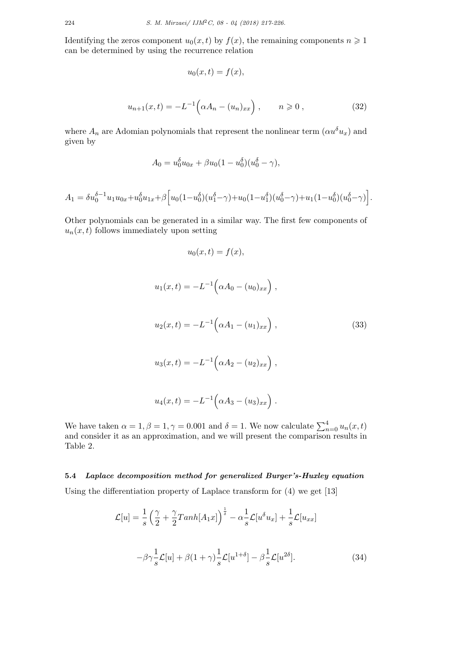Identifying the zeros component  $u_0(x, t)$  by  $f(x)$ , the remaining components  $n \geq 1$ can be determined by using the recurrence relation

$$
u_0(x,t) = f(x),
$$

$$
u_{n+1}(x,t) = -L^{-1} \left( \alpha A_n - (u_n)_{xx} \right), \qquad n \geqslant 0, \tag{32}
$$

where  $A_n$  are Adomian polynomials that represent the nonlinear term  $(\alpha u^{\delta} u_x)$  and given by

$$
A_0 = u_0^{\delta} u_{0x} + \beta u_0 (1 - u_0^{\delta}) (u_0^{\delta} - \gamma),
$$

$$
A_1 = \delta u_0^{\delta - 1} u_1 u_{0x} + u_0^{\delta} u_{1x} + \beta \Big[ u_0 (1 - u_0^{\delta})(u_1^{\delta} - \gamma) + u_0 (1 - u_1^{\delta})(u_0^{\delta} - \gamma) + u_1 (1 - u_0^{\delta})(u_0^{\delta} - \gamma) \Big].
$$

Other polynomials can be generated in a similar way. The first few components of  $u_n(x, t)$  follows immediately upon setting

$$
u_0(x,t) = f(x),
$$

$$
u_1(x,t) = -L^{-1} \left( \alpha A_0 - (u_0)_{xx} \right),
$$
  
\n
$$
u_2(x,t) = -L^{-1} \left( \alpha A_1 - (u_1)_{xx} \right),
$$
  
\n
$$
u_3(x,t) = -L^{-1} \left( \alpha A_2 - (u_2)_{xx} \right),
$$
\n(33)

$$
u_4(x,t) = -L^{-1} \Big( \alpha A_3 - (u_3)_{xx} \Big) .
$$

We have taken  $\alpha = 1, \beta = 1, \gamma = 0.001$  and  $\delta = 1$ . We now calculate  $\sum_{n=0}^{4} u_n(x, t)$ and consider it as an approximation, and we will present the comparison results in Table 2.

**5.4** *Laplace decomposition method for generalized Burger's-Huxley equation* Using the differentiation property of Laplace transform for (4) we get [13]

$$
\mathcal{L}[u] = \frac{1}{s} \left( \frac{\gamma}{2} + \frac{\gamma}{2} \mathrm{Tanh}[A_1 x] \right)^{\frac{1}{\delta}} - \alpha \frac{1}{s} \mathcal{L}[u^{\delta} u_x] + \frac{1}{s} \mathcal{L}[u_{xx}]
$$

$$
-\beta \gamma \frac{1}{s} \mathcal{L}[u] + \beta (1 + \gamma) \frac{1}{s} \mathcal{L}[u^{1+\delta}] - \beta \frac{1}{s} \mathcal{L}[u^{2\delta}]. \tag{34}
$$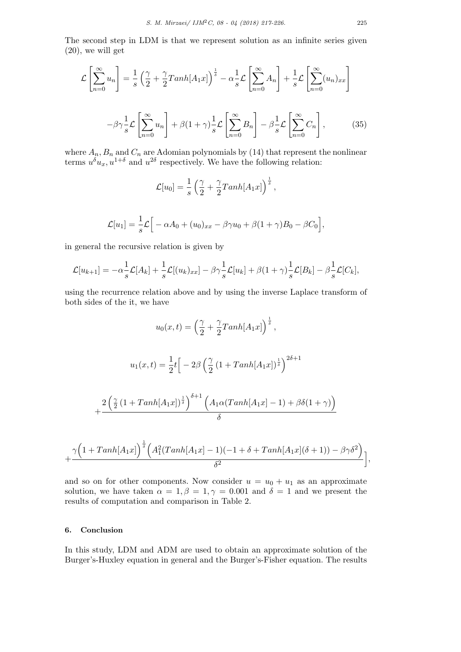The second step in LDM is that we represent solution as an infinite series given (20), we will get

$$
\mathcal{L}\left[\sum_{n=0}^{\infty} u_n\right] = \frac{1}{s} \left(\frac{\gamma}{2} + \frac{\gamma}{2} \text{Tan}h[A_1 x]\right)^{\frac{1}{\delta}} - \alpha \frac{1}{s} \mathcal{L}\left[\sum_{n=0}^{\infty} A_n\right] + \frac{1}{s} \mathcal{L}\left[\sum_{n=0}^{\infty} (u_n)_{xx}\right]
$$

$$
-\beta \gamma \frac{1}{s} \mathcal{L}\left[\sum_{n=0}^{\infty} u_n\right] + \beta (1 + \gamma) \frac{1}{s} \mathcal{L}\left[\sum_{n=0}^{\infty} B_n\right] - \beta \frac{1}{s} \mathcal{L}\left[\sum_{n=0}^{\infty} C_n\right],\tag{35}
$$

where  $A_n$ ,  $B_n$  and  $C_n$  are Adomian polynomials by (14) that represent the nonlinear terms  $u^{\delta}u_x, u^{1+\delta}$  and  $u^{2\delta}$  respectively. We have the following relation:

$$
\mathcal{L}[u_0] = \frac{1}{s} \left( \frac{\gamma}{2} + \frac{\gamma}{2} Tanh[A_1 x] \right)^{\frac{1}{\delta}},
$$

$$
\mathcal{L}[u_1] = \frac{1}{s}\mathcal{L}\Big[-\alpha A_0 + (u_0)_{xx} - \beta \gamma u_0 + \beta (1+\gamma)B_0 - \beta C_0\Big],
$$

in general the recursive relation is given by

$$
\mathcal{L}[u_{k+1}] = -\alpha \frac{1}{s} \mathcal{L}[A_k] + \frac{1}{s} \mathcal{L}[(u_k)_{xx}] - \beta \gamma \frac{1}{s} \mathcal{L}[u_k] + \beta (1+\gamma) \frac{1}{s} \mathcal{L}[B_k] - \beta \frac{1}{s} \mathcal{L}[C_k],
$$

using the recurrence relation above and by using the inverse Laplace transform of both sides of the it, we have

$$
u_0(x,t) = \left(\frac{\gamma}{2} + \frac{\gamma}{2}Tanh[A_1x]\right)^{\frac{1}{\delta}},
$$
  

$$
u_1(x,t) = \frac{1}{2}t\Big[-2\beta\left(\frac{\gamma}{2}\left(1 + Tanh[A_1x]\right)^{\frac{1}{\delta}}\right)^{2\delta+1}
$$
  

$$
+\frac{2\left(\frac{\gamma}{2}\left(1 + Tanh[A_1x]\right)^{\frac{1}{\delta}}\right)^{\delta+1}\left(A_1\alpha(Tanh[A_1x] - 1) + \beta\delta(1+\gamma)\right)}{\delta}
$$

$$
+\frac{\gamma\Big(1+Tanh[A_1x]\Big)^{\frac{1}{\delta}}\Big(A_1^2(Tanh[A_1x]-1)(-1+\delta+Tanh[A_1x](\delta+1))-\beta\gamma\delta^2\Big)}{\delta^2}\bigg],
$$

and so on for other components. Now consider  $u = u_0 + u_1$  as an approximate solution, we have taken  $\alpha = 1, \beta = 1, \gamma = 0.001$  and  $\delta = 1$  and we present the results of computation and comparison in Table 2.

# **6. Conclusion**

In this study, LDM and ADM are used to obtain an approximate solution of the Burger's-Huxley equation in general and the Burger's-Fisher equation. The results